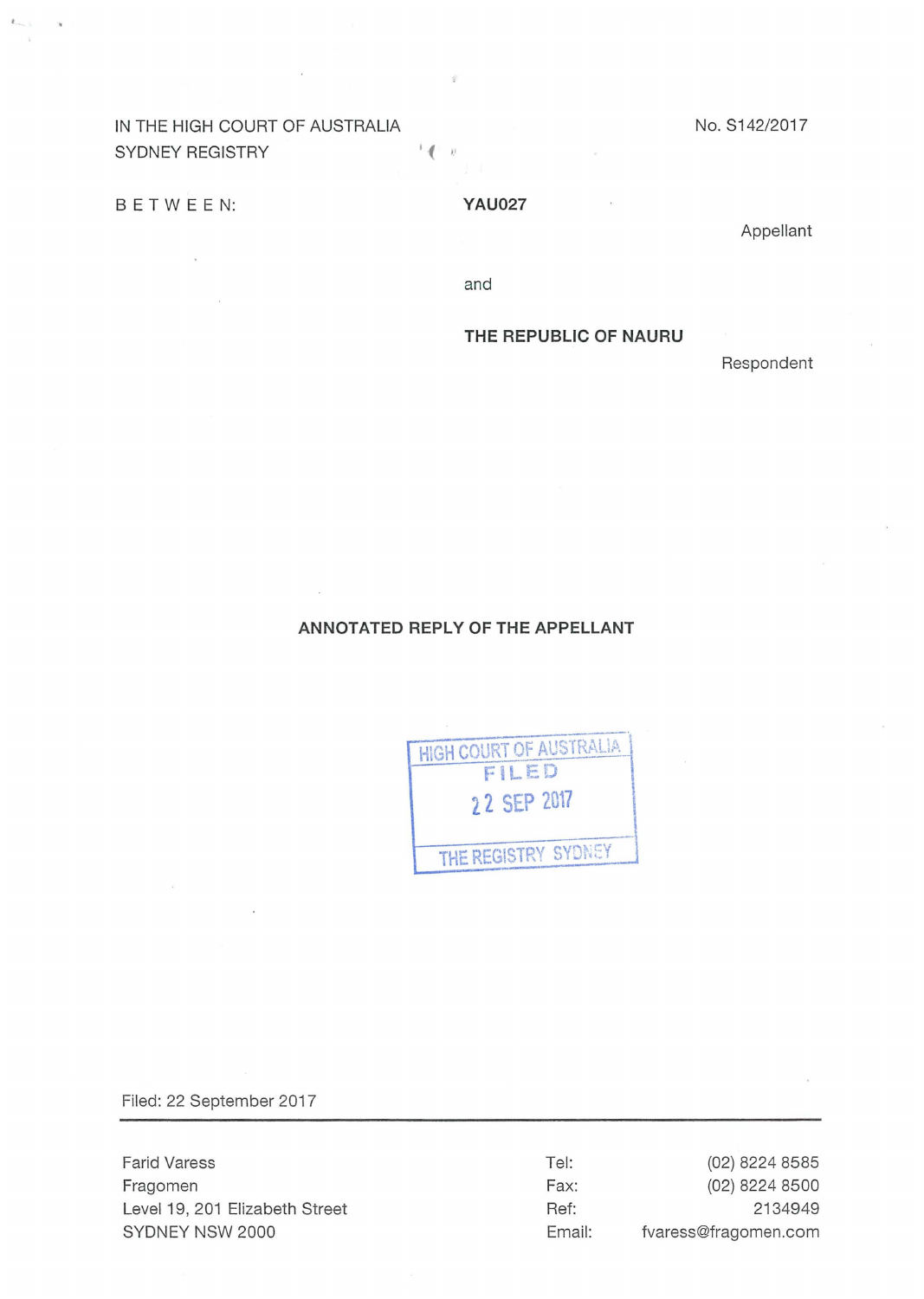# IN THE HIGH COURT OF AUSTRALIA NO. S142/2017 SYDNEY REGISTRY **In the SYDNEY** REGISTRY

# B E T W E E N: **Y AU027**

Appellant

and

# **THE REPUBLIC OF NAURU**

Respondent

# **ANNOTATED REPLY OF THE APPELLANT**

| FILED<br>22 SEP 2017 |  |
|----------------------|--|
|                      |  |
|                      |  |
|                      |  |

Filed: 22 September 2017

Farid Varess Fragomen Level19, 201 Elizabeth Street SYDNEY NSW 2000

Tel: Fax: Ref: Email:

(02) 8224 8585 (02) 8224 8500 2134949 fvaress@fragomen.com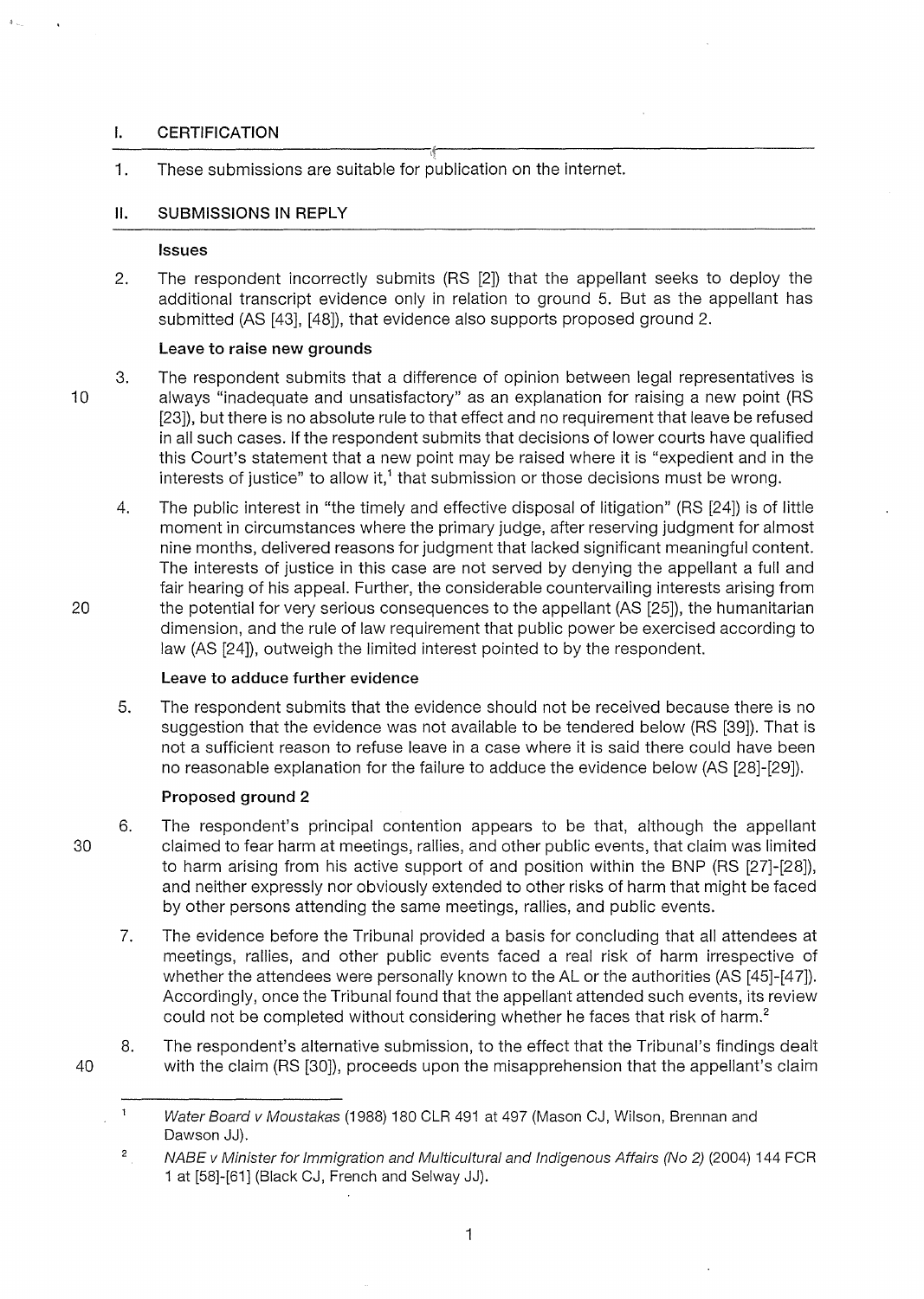# **I. CERTIFICATION**

1. These submissions are suitable for publication on the internet.

# **11. SUBMISSIONS IN REPLY**

#### **Issues**

2. The respondent incorrectly submits (RS [2)) that the appellant seeks to deploy the additional transcript evidence only in relation to ground 5. But as the appellant has submitted (AS [43], [48)), that evidence also supports proposed ground 2.

### **Leave to raise new grounds**

3. The respondent submits that a difference of opinion between legal representatives is 10 always "inadequate and unsatisfactory" as an explanation for raising a new point (RS [23]), but there is no absolute rule to that effect and no requirement that leave be refused in all such cases. If the respondent submits that decisions of lower courts have qualified this Court's statement that a new point may be raised where it is "expedient and in the interests of justice" to allow it, $1$  that submission or those decisions must be wrong.

4. The public interest in "the timely and effective disposal of litigation" (RS [24]) is of little moment in circumstances where the primary judge, after reserving judgment for almost nine months, delivered reasons for judgment that lacked significant meaningful content. The interests of justice in this case are not served by denying the appellant a full and fair hearing of his appeal. Further, the considerable countervailing interests arising from 20 the potential for very serious consequences to the appellant (AS [25]), the humanitarian dimension, and the rule of law requirement that public power be exercised according to law (AS [24]), outweigh the limited interest pointed to by the respondent.

## **Leave to adduce further evidence**

5. The respondent submits that the evidence should not be received because there is no suggestion that the evidence was not available to be tendered below (RS [39]). That is not a sufficient reason to refuse leave in a case where it is said there could have been no reasonable explanation for the failure to adduce the evidence below (AS [28]-[29]).

# **Proposed ground 2**

- 6. The respondent's principal contention appears to be that, although the appellant 30 claimed to fear harm at meetings, rallies, and other public events, that claim was limited to harm arising from his active support of and position within the BNP (RS [27]-[28]), and neither expressly nor obviously extended to other risks of harm that might be faced by other persons attending the same meetings, rallies, and public events.
	- 7. The evidence before the Tribunal provided a basis for concluding that all attendees at meetings, rallies, and other public events faced a real risk of harm irrespective of whether the attendees were personally known to the AL or the authorities (AS [45]-[47]). Accordingly, once the Tribunal found that the appellant attended such events, its review could not be completed without considering whether he faces that risk of harm.<sup>2</sup>
- 8. The respondent's alternative submission, to the effect that the Tribunal's findings dealt 40 with the claim (RS [30]), proceeds upon the misapprehension that the appellant's claim

 $\mathbf{1}$ Water Board v Moustakas (1988) 180 CLR 491 at 497 (Mason CJ, Wilson, Brennan and Dawson JJ).

<sup>2</sup>  NABE v Minister for Immigration and Multicultural and Indigenous Affairs (No 2) (2004) 144 FCR 1 at [58]-[61] (Black CJ, French and Selway JJ).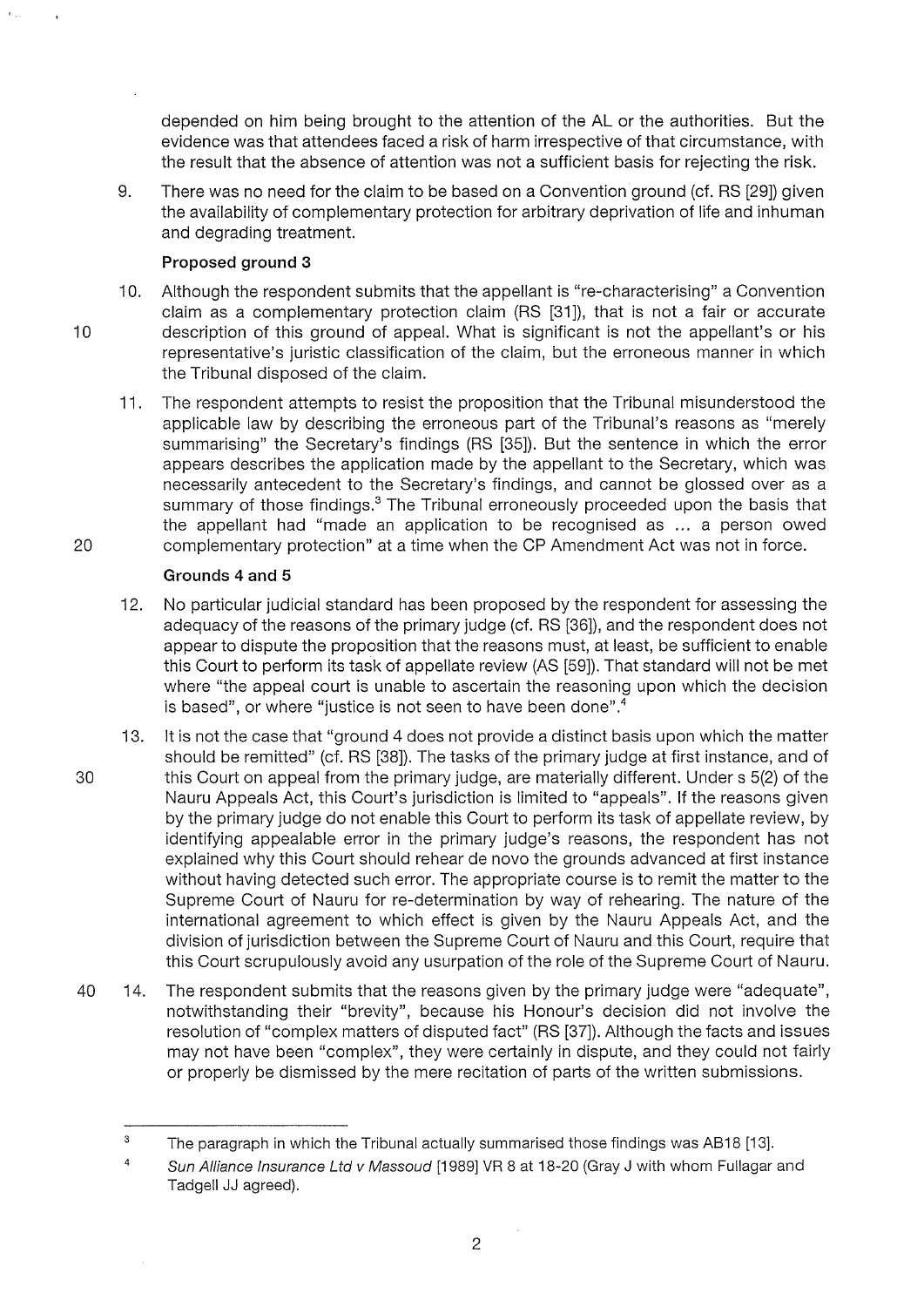depended on him being brought to the attention of the AL or the authorities. But the evidence was that attendees faced a risk of harm irrespective of that circumstance, with the result that the absence of attention was not a sufficient basis for rejecting the risk.

9. There was no need for the claim to be based on a Convention ground (cf. RS [29]) given the availability of complementary protection for arbitrary deprivation of life and inhuman and degrading treatment.

# **Proposed ground 3**

- 10. Although the respondent submits that the appellant is "re-characterising" a Convention claim as a complementary protection claim (RS [31]), that is not a fair or accurate 10 description of this ground of appeal. What is significant is not the appellant's or his representative's juristic classification of the claim, but the erroneous manner in which the Tribunal disposed of the claim.
- 11. The respondent attempts to resist the proposition that the Tribunal misunderstood the applicable law by describing the erroneous part of the Tribunal's reasons as "merely summarising" the Secretary's findings (RS [35]). But the sentence in which the error appears describes the application made by the appellant to the Secretary, which was necessarily antecedent to the Secretary's findings, and cannot be glossed over as a summary of those findings.<sup>3</sup> The Tribunal erroneously proceeded upon the basis that the appellant had "made an application to be recognised as ... a person owed 20 complementary protection" at a time when the CP Amendment Act was not in force.

# **Grounds 4 and 5**

- 12. No particular judicial standard has been proposed by the respondent for assessing the adequacy of the reasons of the primary judge (cf. RS [36]), and the respondent does not appear to dispute the proposition that the reasons must, at least, be sufficient to enable this Court to perform its task of appellate review (AS [59]). That standard will not be met where "the appeal court is unable to ascertain the reasoning upon which the decision is based", or where "justice is not seen to have been done". $^4$
- 13. lt is not the case that "ground 4 does not provide a distinct basis upon which the matter should be remitted" (cf. RS [38]). The tasks of the primary judge at first instance, and of 30 this Court on appeal from the primary judge, are materially different. Under s 5(2) of the Nauru Appeals Act, this Court's jurisdiction is limited to "appeals". If the reasons given by the primary judge do not enable this Court to perform its task of appellate review, by identifying appealable error in the primary judge's reasons, the respondent has not explained why this Court should rehear de novo the grounds advanced at first instance without having detected such error. The appropriate course is to remit the matter to the Supreme Court of Nauru for re-determination by way of rehearing. The nature of the international agreement to which effect is given by the Nauru Appeals Act, and the division of jurisdiction between the Supreme Court of Nauru and this Court, require that this Court scrupulously avoid any usurpation of the role of the Supreme Court of Nauru.
- 40 14. The respondent submits that the reasons given by the primary judge were "adequate", notwithstanding their "brevity", because his Honour's decision did not involve the resolution of "complex matters of disputed fact" (RS [37]). Although the facts and issues may not have been "complex", they were certainly in dispute, and they could not fairly or properly be dismissed by the mere recitation of parts of the written submissions.

<sup>3</sup>  The paragraph in which the Tribunal actually summarised those findings was AB18 [13].

<sup>4</sup>  Sun Alliance Insurance Ltd v Massoud [1989] VR 8 at 18-20 (Gray J with whom Fullagar and Tadgell JJ agreed).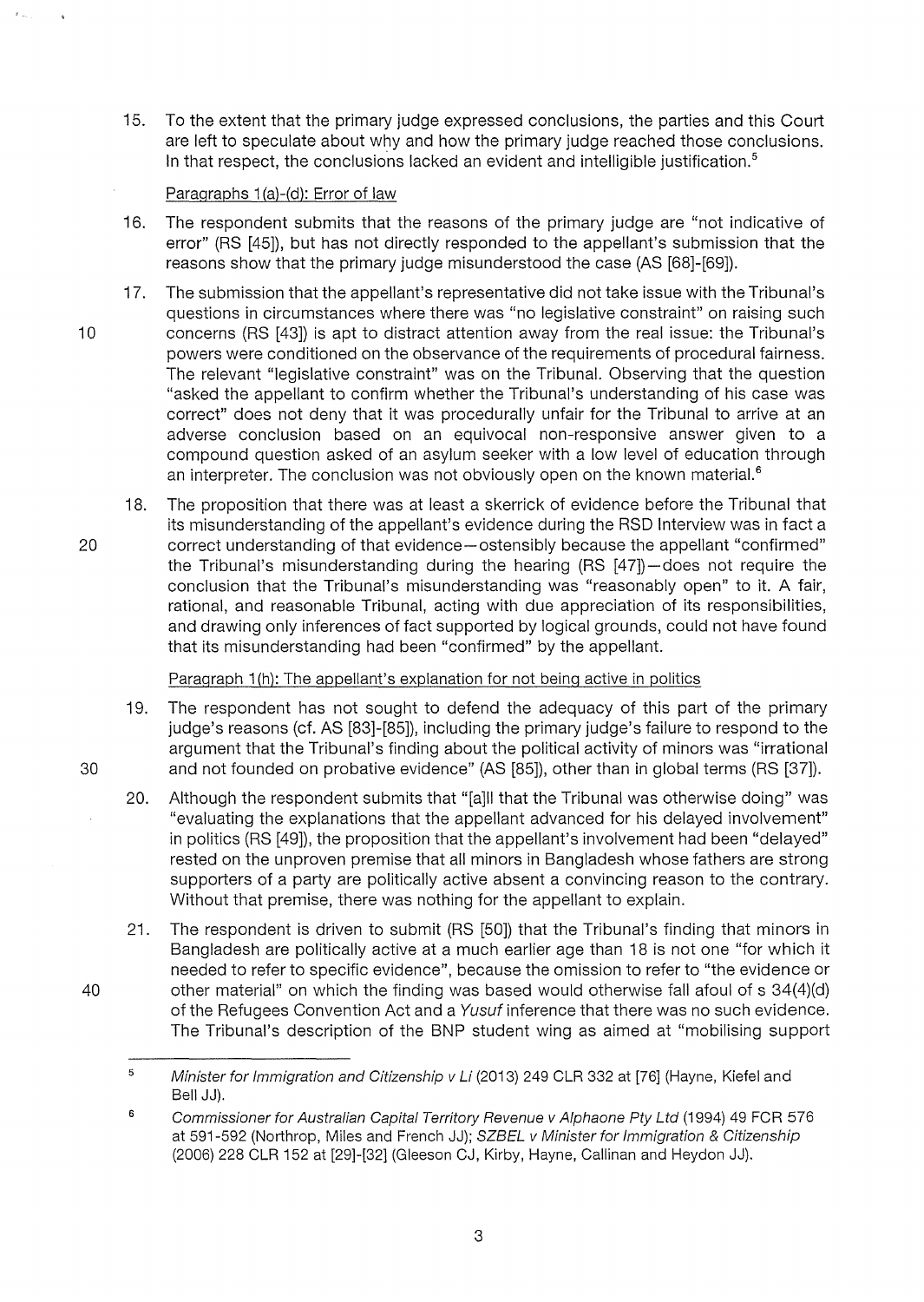15. To the extent that the primary judge expressed conclusions, the parties and this Court are left to speculate about why and how the primary judge reached those conclusions. In that respect, the conclusions lacked an evident and intelligible justification.<sup>5</sup>

# Paragraphs 1(a)-(d): Error of law

- 16. The respondent submits that the reasons of the primary judge are "not indicative of error" (RS [45]), but has not directly responded to the appellant's submission that the reasons show that the primary judge misunderstood the case (AS [68]-[69]).
- 17. The submission that the appellant's representative did not take issue with the Tribunal's questions in circumstances where there was "no legislative constraint" on raising such 10 concerns (RS [43]) is apt to distract attention away from the real issue: the Tribunal's powers were conditioned on the observance of the requirements of procedural fairness. The relevant "legislative constraint" was on the Tribunal. Observing that the question "asked the appellant to confirm whether the Tribunal's understanding of his case was correct" does not deny that it was procedurally unfair for the Tribunal to arrive at an adverse conclusion based on an equivocal non-responsive answer given to a compound question asked of an asylum seeker with a low level of education through an interpreter. The conclusion was not obviously open on the known material. $<sup>6</sup>$ </sup>
- 18. The proposition that there was at least a skerrick of evidence before the Tribunal that its misunderstanding of the appellant's evidence during the RSD Interview was in fact a 20 correct understanding of that evidence-ostensibly because the appellant "confirmed" the Tribunal's misunderstanding during the hearing (RS [47])-does not require the conclusion that the Tribunal's misunderstanding was "reasonably open" to it. A fair, rational, and reasonable Tribunal, acting with due appreciation of its responsibilities, and drawing only inferences of fact supported by logical grounds, could not have found that its misunderstanding had been "confirmed" by the appellant.

Paragraph 1(h): The appellant's explanation for not being active in politics

- 19. The respondent has not sought to defend the adequacy of this part of the primary judge's reasons (cf. AS [83]-[85]), including the primary judge's failure to respond to the argument that the Tribunal's finding about the political activity of minors was "irrational 30 and not founded on probative evidence" (AS [85]), other than in global terms (RS [37]).
	- 20. Although the respondent submits that "[a]ll that the Tribunal was otherwise doing" was "evaluating the explanations that the appellant advanced for his delayed involvement" in politics (RS [49]), the proposition that the appellant's involvement had been "delayed" rested on the unproven premise that all minors in Bangladesh whose fathers are strong supporters of a party are politically active absent a convincing reason to the contrary. Without that premise, there was nothing for the appellant to explain.
- 21. The respondent is driven to submit (RS [50]) that the Tribunal's finding that minors in Bangladesh are politically active at a much earlier age than 18 is not one "for which it needed to refer to specific evidence", because the omission to refer to "the evidence or 40 other material" on which the finding was based would otherwise fall afoul of s 34(4)(d) of the Refugees Convention Act and a Yusuf inference that there was no such evidence. The Tribunal's description of the BNP student wing as aimed at "mobilising support

<sup>5</sup>  Minister for Immigration and Citizenship v Li (2013) 249 CLR 332 at [76] (Hayne, Kiefel and Bell JJ).

<sup>6</sup>  Commissioner for Australian Capital Territory Revenue v Alphaone Pty Ltd (1994) 49 FCR 576 at 591-592 (Northrop, Miles and French JJ); SZBEL v Minister for Immigration & Citizenship (2006) 228 CLR 152 at [29]-[32] (Gieeson CJ, Kirby, Hayne, Callinan and Heydon JJ).